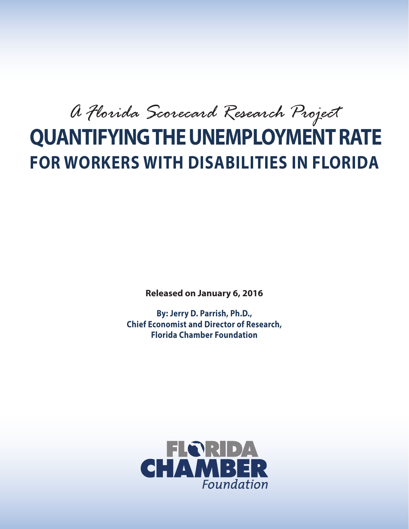*A Florida Scorecard Research Project*

# **QUANTIFYING THE UNEMPLOYMENT RATE FOR WORKERS WITH DISABILITIES IN FLORIDA**

**Released on January 6, 2016**

**By: Jerry D. Parrish, Ph.D., Chief Economist and Director of Research, Florida Chamber Foundation**

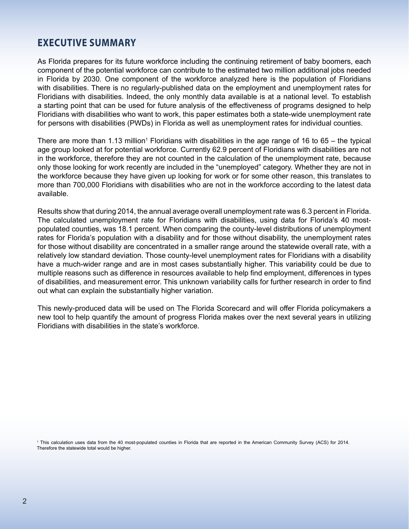### **EXECUTIVE SUMMARY**

As Florida prepares for its future workforce including the continuing retirement of baby boomers, each component of the potential workforce can contribute to the estimated two million additional jobs needed in Florida by 2030. One component of the workforce analyzed here is the population of Floridians with disabilities. There is no regularly-published data on the employment and unemployment rates for Floridians with disabilities. Indeed, the only monthly data available is at a national level. To establish a starting point that can be used for future analysis of the effectiveness of programs designed to help Floridians with disabilities who want to work, this paper estimates both a state-wide unemployment rate for persons with disabilities (PWDs) in Florida as well as unemployment rates for individual counties.

There are more than 1.13 million<sup>1</sup> Floridians with disabilities in the age range of 16 to 65 – the typical age group looked at for potential workforce. Currently 62.9 percent of Floridians with disabilities are not in the workforce, therefore they are not counted in the calculation of the unemployment rate, because only those looking for work recently are included in the "unemployed" category. Whether they are not in the workforce because they have given up looking for work or for some other reason, this translates to more than 700,000 Floridians with disabilities who are not in the workforce according to the latest data available.

Results show that during 2014, the annual average overall unemployment rate was 6.3 percent in Florida. The calculated unemployment rate for Floridians with disabilities, using data for Florida's 40 mostpopulated counties, was 18.1 percent. When comparing the county-level distributions of unemployment rates for Florida's population with a disability and for those without disability, the unemployment rates for those without disability are concentrated in a smaller range around the statewide overall rate, with a relatively low standard deviation. Those county-level unemployment rates for Floridians with a disability have a much-wider range and are in most cases substantially higher. This variability could be due to multiple reasons such as difference in resources available to help find employment, differences in types of disabilities, and measurement error. This unknown variability calls for further research in order to find out what can explain the substantially higher variation.

This newly-produced data will be used on The Florida Scorecard and will offer Florida policymakers a new tool to help quantify the amount of progress Florida makes over the next several years in utilizing Floridians with disabilities in the state's workforce.

<sup>1</sup> This calculation uses data from the 40 most-populated counties in Florida that are reported in the American Community Survey (ACS) for 2014. Therefore the statewide total would be higher.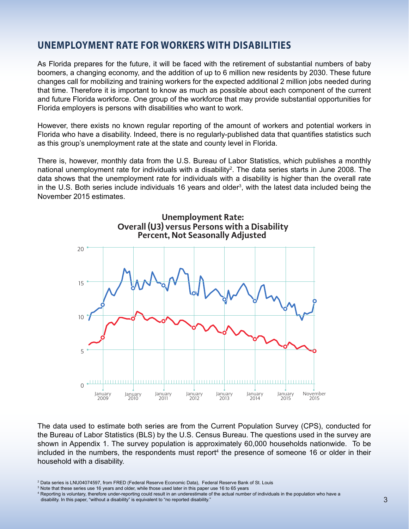### **UNEMPLOYMENT RATE FOR WORKERS WITH DISABILITIES**

As Florida prepares for the future, it will be faced with the retirement of substantial numbers of baby boomers, a changing economy, and the addition of up to 6 million new residents by 2030. These future changes call for mobilizing and training workers for the expected additional 2 million jobs needed during that time. Therefore it is important to know as much as possible about each component of the current and future Florida workforce. One group of the workforce that may provide substantial opportunities for Florida employers is persons with disabilities who want to work.

However, there exists no known regular reporting of the amount of workers and potential workers in Florida who have a disability. Indeed, there is no regularly-published data that quantifies statistics such as this group's unemployment rate at the state and county level in Florida.

There is, however, monthly data from the U.S. Bureau of Labor Statistics, which publishes a monthly national unemployment rate for individuals with a disability<sup>2</sup>. The data series starts in June 2008. The data shows that the unemployment rate for individuals with a disability is higher than the overall rate in the U.S. Both series include individuals 16 years and older<sup>3</sup>, with the latest data included being the November 2015 estimates.



The data used to estimate both series are from the Current Population Survey (CPS), conducted for the Bureau of Labor Statistics (BLS) by the U.S. Census Bureau. The questions used in the survey are shown in Appendix 1. The survey population is approximately 60,000 households nationwide. To be included in the numbers, the respondents must report<sup>4</sup> the presence of someone 16 or older in their household with a disability.

<sup>&</sup>lt;sup>2</sup> Data series is LNU04074597, from FRED (Federal Reserve Economic Data), Federal Reserve Bank of St. Louis

 <sup>3</sup> Note that these series use 16 years and older, while those used later in this paper use 16 to 65 years

 <sup>4</sup> Reporting is voluntary, therefore under-reporting could result in an underestimate of the actual number of individuals in the population who have a

disability. In this paper, "without a disability" is equivalent to "no reported disability."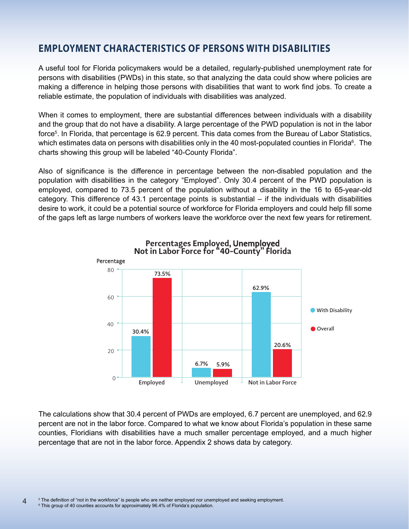### **EMPLOYMENT CHARACTERISTICS OF PERSONS WITH DISABILITIES**

A useful tool for Florida policymakers would be a detailed, regularly-published unemployment rate for persons with disabilities (PWDs) in this state, so that analyzing the data could show where policies are making a difference in helping those persons with disabilities that want to work find jobs. To create a reliable estimate, the population of individuals with disabilities was analyzed.

When it comes to employment, there are substantial differences between individuals with a disability and the group that do not have a disability. A large percentage of the PWD population is not in the labor force<sup>5</sup>. In Florida, that percentage is 62.9 percent. This data comes from the Bureau of Labor Statistics, which estimates data on persons with disabilities only in the 40 most-populated counties in Florida $^6$ . The charts showing this group will be labeled "40-County Florida".

Also of significance is the difference in percentage between the non-disabled population and the population with disabilities in the category "Employed". Only 30.4 percent of the PWD population is employed, compared to 73.5 percent of the population without a disability in the 16 to 65-year-old category. This difference of 43.1 percentage points is substantial – if the individuals with disabilities desire to work, it could be a potential source of workforce for Florida employers and could help fill some of the gaps left as large numbers of workers leave the workforce over the next few years for retirement.



The calculations show that 30.4 percent of PWDs are employed, 6.7 percent are unemployed, and 62.9 percent are not in the labor force. Compared to what we know about Florida's population in these same counties, Floridians with disabilities have a much smaller percentage employed, and a much higher percentage that are not in the labor force. Appendix 2 shows data by category.

4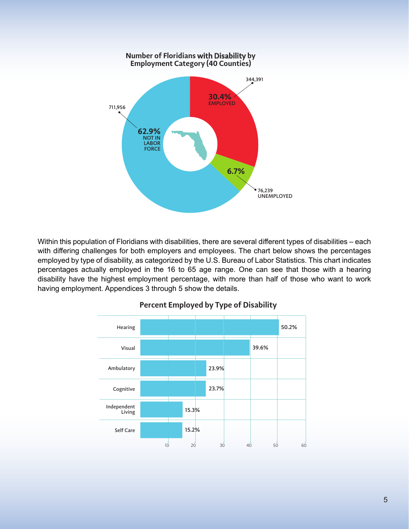

Within this population of Floridians with disabilities, there are several different types of disabilities – each with differing challenges for both employers and employees. The chart below shows the percentages employed by type of disability, as categorized by the U.S. Bureau of Labor Statistics. This chart indicates percentages actually employed in the 16 to 65 age range. One can see that those with a hearing disability have the highest employment percentage, with more than half of those who want to work having employment. Appendices 3 through 5 show the details.



#### **Percent Employed by Type of Disability**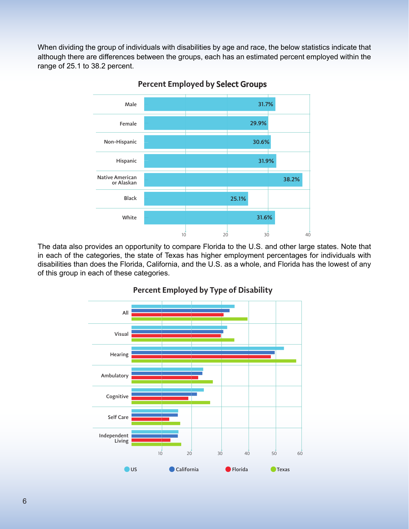When dividing the group of individuals with disabilities by age and race, the below statistics indicate that although there are differences between the groups, each has an estimated percent employed within the range of 25.1 to 38.2 percent.



**Percent Employed by** Select Groups

The data also provides an opportunity to compare Florida to the U.S. and other large states. Note that in each of the categories, the state of Texas has higher employment percentages for individuals with disabilities than does the Florida, California, and the U.S. as a whole, and Florida has the lowest of any of this group in each of these categories.



#### **Percent Employed by Type of Disability**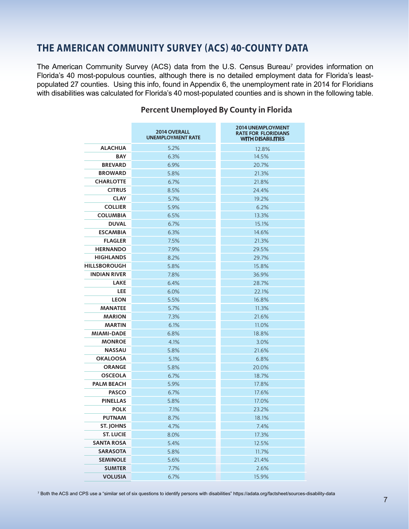# **THE AMERICAN COMMUNITY SURVEY (ACS) 40-COUNTY DATA**

The American Community Survey (ACS) data from the U.S. Census Bureau<sup>7</sup> provides information on Florida's 40 most-populous counties, although there is no detailed employment data for Florida's leastpopulated 27 counties. Using this info, found in Appendix 6, the unemployment rate in 2014 for Floridians with disabilities was calculated for Florida's 40 most-populated counties and is shown in the following table.

|                     | <b>2014 OVERALL</b><br><b>UNEMPLOYMENT RATE</b> | <b>2014 UNEMPLOYMENT</b><br><b>RATE FOR FLORIDIANS</b><br><b>WITH DISABILITIES</b> |
|---------------------|-------------------------------------------------|------------------------------------------------------------------------------------|
| <b>ALACHUA</b>      | 5.2%                                            | 12.8%                                                                              |
| <b>BAY</b>          | 6.3%                                            | 14.5%                                                                              |
| <b>BREVARD</b>      | 6.9%                                            | 20.7%                                                                              |
| <b>BROWARD</b>      | 5.8%                                            | 21.3%                                                                              |
| <b>CHARLOTTE</b>    | 6.7%                                            | 21.8%                                                                              |
| <b>CITRUS</b>       | 8.5%                                            | 24.4%                                                                              |
| <b>CLAY</b>         | 5.7%                                            | 19.2%                                                                              |
| <b>COLLIER</b>      | 5.9%                                            | 6.2%                                                                               |
| <b>COLUMBIA</b>     | 6.5%                                            | 13.3%                                                                              |
| <b>DUVAL</b>        | 6.7%                                            | 15.1%                                                                              |
| <b>ESCAMBIA</b>     | 6.3%                                            | 14.6%                                                                              |
| <b>FLAGLER</b>      | 7.5%                                            | 21.3%                                                                              |
| <b>HERNANDO</b>     | 7.9%                                            | 29.5%                                                                              |
| <b>HIGHLANDS</b>    | 8.2%                                            | 29.7%                                                                              |
| HILLSBOROUGH        | 5.8%                                            | 15.8%                                                                              |
| <b>INDIAN RIVER</b> | 7.8%                                            | 36.9%                                                                              |
| <b>LAKE</b>         | 6.4%                                            | 28.7%                                                                              |
| LEE                 | 6.0%                                            | 22.1%                                                                              |
| <b>LEON</b>         | 5.5%                                            | 16.8%                                                                              |
| <b>MANATEE</b>      | 5.7%                                            | 11.3%                                                                              |
| <b>MARION</b>       | 7.3%                                            | 21.6%                                                                              |
| <b>MARTIN</b>       | 6.1%                                            | 11.0%                                                                              |
| <b>MIAMI-DADE</b>   | 6.8%                                            | 18.8%                                                                              |
| <b>MONROE</b>       | 4.1%                                            | 3.0%                                                                               |
| <b>NASSAU</b>       | 5.8%                                            | 21.6%                                                                              |
| <b>OKALOOSA</b>     | 5.1%                                            | 6.8%                                                                               |
| <b>ORANGE</b>       | 5.8%                                            | 20.0%                                                                              |
| <b>OSCEOLA</b>      | 6.7%                                            | 18.7%                                                                              |
| <b>PALM BEACH</b>   | 5.9%                                            | 17.8%                                                                              |
| <b>PASCO</b>        | 6.7%                                            | 17.6%                                                                              |
| <b>PINELLAS</b>     | 5.8%                                            | 17.0%                                                                              |
| <b>POLK</b>         | 7.1%                                            | 23.2%                                                                              |
| <b>PUTNAM</b>       | 8.7%                                            | 18.1%                                                                              |
| ST. JOHNS           | 4.7%                                            | 7.4%                                                                               |
| <b>ST. LUCIE</b>    | 8.0%                                            | 17.3%                                                                              |
| <b>SANTA ROSA</b>   | 5.4%                                            | 12.5%                                                                              |
| <b>SARASOTA</b>     | 5.8%                                            | 11.7%                                                                              |
| <b>SEMINOLE</b>     | 5.6%                                            | 21.4%                                                                              |
| <b>SUMTER</b>       | 7.7%                                            | 2.6%                                                                               |
| <b>VOLUSIA</b>      | 6.7%                                            | 15.9%                                                                              |

#### **Percent Unemployed By County in Florida**

7 Both the ACS and CPS use a "similar set of six questions to identify persons with disabilities" https://adata.org/factsheet/sources-disability-data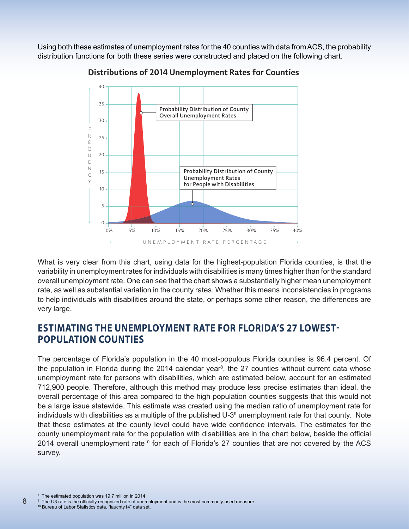Using both these estimates of unemployment rates for the 40 counties with data from ACS, the probability distribution functions for both these series were constructed and placed on the following chart.



**Distributions of 2014 Unemployment Rates for Counties**

What is very clear from this chart, using data for the highest-population Florida counties, is that the variability in unemployment rates for individuals with disabilities is many times higher than for the standard overall unemployment rate. One can see that the chart shows a substantially higher mean unemployment rate, as well as substantial variation in the county rates. Whether this means inconsistencies in programs to help individuals with disabilities around the state, or perhaps some other reason, the differences are very large.

## **ESTIMATING THE UNEMPLOYMENT RATE FOR FLORIDA'S 27 LOWEST-POPULATION COUNTIES**

The percentage of Florida's population in the 40 most-populous Florida counties is 96.4 percent. Of the population in Florida during the 2014 calendar year<sup>8</sup>, the 27 counties without current data whose unemployment rate for persons with disabilities, which are estimated below, account for an estimated 712,900 people. Therefore, although this method may produce less precise estimates than ideal, the overall percentage of this area compared to the high population counties suggests that this would not be a large issue statewide. This estimate was created using the median ratio of unemployment rate for individuals with disabilities as a multiple of the published U-3<sup>9</sup> unemployment rate for that county. Note that these estimates at the county level could have wide confidence intervals. The estimates for the county unemployment rate for the population with disabilities are in the chart below, beside the official 2014 overall unemployment rate<sup>10</sup> for each of Florida's 27 counties that are not covered by the ACS survey.

8

<sup>10</sup> Bureau of Labor Statistics data. "laucnty14" data set.

<sup>8</sup> The estimated population was 19.7 million in 2014

<sup>9</sup> The U3 rate is the officially recognized rate of unemployment and is the most commonly-used measure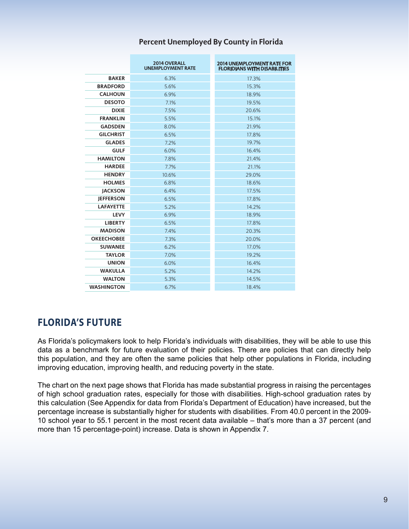|                   | <b>2014 OVERALL</b><br><b>UNEMPLOYMENT RATE</b> | <b>2014 UNEMPLOYMENT RATE FOR</b><br><b>FLORIDIANS WITH DISABILITIES</b> |
|-------------------|-------------------------------------------------|--------------------------------------------------------------------------|
| <b>BAKER</b>      | 6.3%                                            | 17.3%                                                                    |
| <b>BRADFORD</b>   | 5.6%                                            | 15.3%                                                                    |
| <b>CALHOUN</b>    | 6.9%                                            | 18.9%                                                                    |
| <b>DESOTO</b>     | 7.1%                                            | 19.5%                                                                    |
| <b>DIXIE</b>      | 7.5%                                            | 20.6%                                                                    |
| <b>FRANKLIN</b>   | 5.5%                                            | 15.1%                                                                    |
| <b>GADSDEN</b>    | 8.0%                                            | 21.9%                                                                    |
| <b>GILCHRIST</b>  | 6.5%                                            | 17.8%                                                                    |
| <b>GLADES</b>     | 7.2%                                            | 19.7%                                                                    |
| <b>GULF</b>       | 6.0%                                            | 16.4%                                                                    |
| <b>HAMILTON</b>   | 7.8%                                            | 21.4%                                                                    |
| <b>HARDEE</b>     | 7.7%                                            | 21.1%                                                                    |
| <b>HENDRY</b>     | 10.6%                                           | 29.0%                                                                    |
| <b>HOLMES</b>     | 6.8%                                            | 18.6%                                                                    |
| <b>JACKSON</b>    | 6.4%                                            | 17.5%                                                                    |
| <b>JEFFERSON</b>  | 6.5%                                            | 17.8%                                                                    |
| <b>LAFAYETTE</b>  | 5.2%                                            | 14.2%                                                                    |
| <b>LEVY</b>       | 6.9%                                            | 18.9%                                                                    |
| <b>LIBERTY</b>    | 6.5%                                            | 17.8%                                                                    |
| <b>MADISON</b>    | 7.4%                                            | 20.3%                                                                    |
| <b>OKEECHOBEE</b> | 7.3%                                            | 20.0%                                                                    |
| <b>SUWANEE</b>    | 6.2%                                            | 17.0%                                                                    |
| <b>TAYLOR</b>     | 7.0%                                            | 19.2%                                                                    |
| <b>UNION</b>      | 6.0%                                            | 16.4%                                                                    |
| <b>WAKULLA</b>    | 5.2%                                            | 14.2%                                                                    |
| <b>WALTON</b>     | 5.3%                                            | 14.5%                                                                    |
| <b>WASHINGTON</b> | 6.7%                                            | 18.4%                                                                    |

#### **Percent Unemployed By County in Florida**

### **FLORIDA'S FUTURE**

As Florida's policymakers look to help Florida's individuals with disabilities, they will be able to use this data as a benchmark for future evaluation of their policies. There are policies that can directly help this population, and they are often the same policies that help other populations in Florida, including improving education, improving health, and reducing poverty in the state.

The chart on the next page shows that Florida has made substantial progress in raising the percentages of high school graduation rates, especially for those with disabilities. High-school graduation rates by this calculation (See Appendix for data from Florida's Department of Education) have increased, but the percentage increase is substantially higher for students with disabilities. From 40.0 percent in the 2009- 10 school year to 55.1 percent in the most recent data available – that's more than a 37 percent (and more than 15 percentage-point) increase. Data is shown in Appendix 7.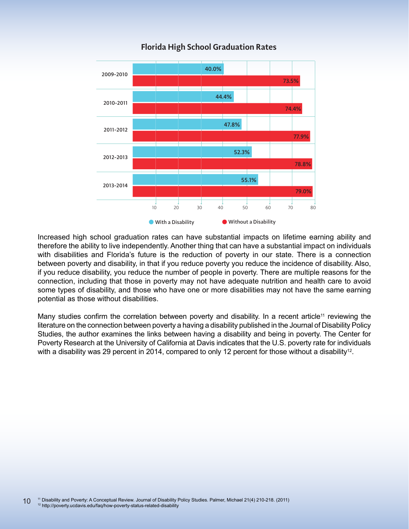

#### **Florida High School Graduation Rates**

Increased high school graduation rates can have substantial impacts on lifetime earning ability and therefore the ability to live independently. Another thing that can have a substantial impact on individuals with disabilities and Florida's future is the reduction of poverty in our state. There is a connection between poverty and disability, in that if you reduce poverty you reduce the incidence of disability. Also, if you reduce disability, you reduce the number of people in poverty. There are multiple reasons for the connection, including that those in poverty may not have adequate nutrition and health care to avoid some types of disability, and those who have one or more disabilities may not have the same earning potential as those without disabilities.

Many studies confirm the correlation between poverty and disability. In a recent article<sup>11</sup> reviewing the literature on the connection between poverty a having a disability published in the Journal of Disability Policy Studies, the author examines the links between having a disability and being in poverty. The Center for Poverty Research at the University of California at Davis indicates that the U.S. poverty rate for individuals with a disability was 29 percent in 2014, compared to only 12 percent for those without a disability<sup>12</sup>.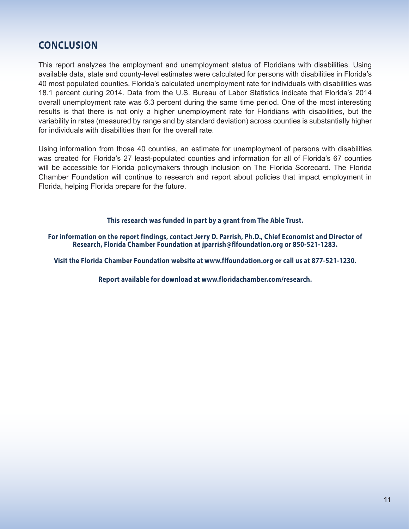# **CONCLUSION**

This report analyzes the employment and unemployment status of Floridians with disabilities. Using available data, state and county-level estimates were calculated for persons with disabilities in Florida's 40 most populated counties. Florida's calculated unemployment rate for individuals with disabilities was 18.1 percent during 2014. Data from the U.S. Bureau of Labor Statistics indicate that Florida's 2014 overall unemployment rate was 6.3 percent during the same time period. One of the most interesting results is that there is not only a higher unemployment rate for Floridians with disabilities, but the variability in rates (measured by range and by standard deviation) across counties is substantially higher for individuals with disabilities than for the overall rate.

Using information from those 40 counties, an estimate for unemployment of persons with disabilities was created for Florida's 27 least-populated counties and information for all of Florida's 67 counties will be accessible for Florida policymakers through inclusion on The Florida Scorecard. The Florida Chamber Foundation will continue to research and report about policies that impact employment in Florida, helping Florida prepare for the future.

#### **This research was funded in part by a grant from The Able Trust.**

**For information on the report findings, contact Jerry D. Parrish, Ph.D., Chief Economist and Director of Research, Florida Chamber Foundation at jparrish@flfoundation.org or 850-521-1283.**

**Visit the Florida Chamber Foundation website at www.flfoundation.org or call us at 877-521-1230.**

**Report available for download at www.floridachamber.com/research.**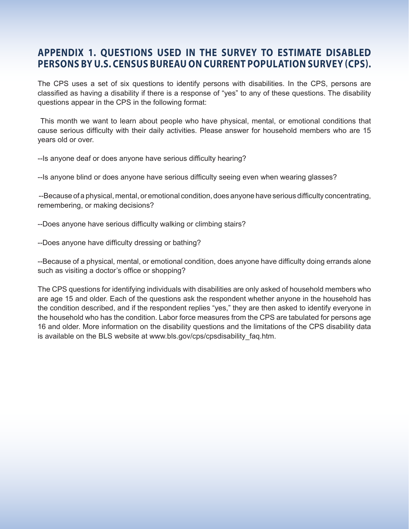### **APPENDIX 1. QUESTIONS USED IN THE SURVEY TO ESTIMATE DISABLED PERSONS BY U.S. CENSUS BUREAU ON CURRENT POPULATION SURVEY (CPS).**

The CPS uses a set of six questions to identify persons with disabilities. In the CPS, persons are classified as having a disability if there is a response of "yes" to any of these questions. The disability questions appear in the CPS in the following format:

 This month we want to learn about people who have physical, mental, or emotional conditions that cause serious difficulty with their daily activities. Please answer for household members who are 15 years old or over.

--Is anyone deaf or does anyone have serious difficulty hearing?

--Is anyone blind or does anyone have serious difficulty seeing even when wearing glasses?

 --Because of a physical, mental, or emotional condition, does anyone have serious difficulty concentrating, remembering, or making decisions?

--Does anyone have serious difficulty walking or climbing stairs?

--Does anyone have difficulty dressing or bathing?

--Because of a physical, mental, or emotional condition, does anyone have difficulty doing errands alone such as visiting a doctor's office or shopping?

The CPS questions for identifying individuals with disabilities are only asked of household members who are age 15 and older. Each of the questions ask the respondent whether anyone in the household has the condition described, and if the respondent replies "yes," they are then asked to identify everyone in the household who has the condition. Labor force measures from the CPS are tabulated for persons age 16 and older. More information on the disability questions and the limitations of the CPS disability data is available on the BLS website at www.bls.gov/cps/cpsdisability\_faq.htm.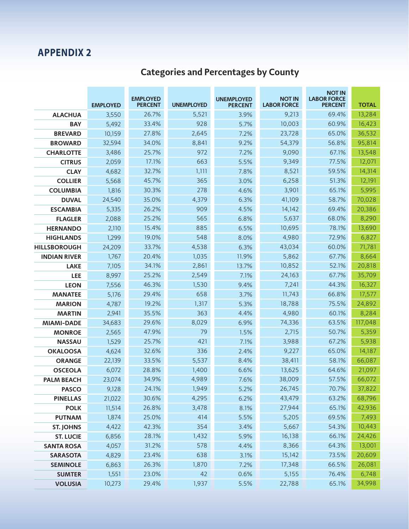# **Categories and Percentages by County**

|                     | <b>EMPLOYED</b> | <b>EMPLOYED</b><br><b>PERCENT</b> | <b>UNEMPLOYED</b> | <b>UNEMPLOYED</b><br><b>PERCENT</b> | <b>NOT IN</b><br><b>LABOR FORCE</b> | <b>NOT IN</b><br><b>LABOR FORCE</b><br><b>PERCENT</b> | <b>TOTAL</b> |
|---------------------|-----------------|-----------------------------------|-------------------|-------------------------------------|-------------------------------------|-------------------------------------------------------|--------------|
| <b>ALACHUA</b>      | 3,550           | 26.7%                             | 5,521             | 3.9%                                | 9,213                               | 69.4%                                                 | 13,284       |
| <b>BAY</b>          | 5,492           | 33.4%                             | 928               | 5.7%                                | 10,003                              | 60.9%                                                 | 16,423       |
| <b>BREVARD</b>      | 10,159          | 27.8%                             | 2,645             | 7.2%                                | 23,728                              | 65.0%                                                 | 36,532       |
| <b>BROWARD</b>      | 32,594          | 34.0%                             | 8,841             | 9.2%                                | 54,379                              | 56.8%                                                 | 95,814       |
| <b>CHARLOTTE</b>    | 3,486           | 25.7%                             | 972               | 7.2%                                | 9,090                               | 67.1%                                                 | 13,548       |
| <b>CITRUS</b>       | 2,059           | 17.1%                             | 663               | 5.5%                                | 9,349                               | 77.5%                                                 | 12,071       |
| <b>CLAY</b>         | 4,682           | 32.7%                             | 1,111             | 7.8%                                | 8,521                               | 59.5%                                                 | 14,314       |
| <b>COLLIER</b>      | 5,568           | 45.7%                             | 365               | 3.0%                                | 6,258                               | 51.3%                                                 | 12,191       |
| <b>COLUMBIA</b>     | 1,816           | 30.3%                             | 278               | 4.6%                                | 3,901                               | 65.1%                                                 | 5,995        |
| <b>DUVAL</b>        | 24,540          | 35.0%                             | 4,379             | 6.3%                                | 41,109                              | 58.7%                                                 | 70,028       |
| <b>ESCAMBIA</b>     | 5,335           | 26.2%                             | 909               | 4.5%                                | 14,142                              | 69.4%                                                 | 20,386       |
| <b>FLAGLER</b>      | 2,088           | 25.2%                             | 565               | 6.8%                                | 5,637                               | 68.0%                                                 | 8,290        |
| <b>HERNANDO</b>     | 2,110           | 15.4%                             | 885               | 6.5%                                | 10,695                              | 78.1%                                                 | 13,690       |
| <b>HIGHLANDS</b>    | 1,299           | 19.0%                             | 548               | 8.0%                                | 4,980                               | 72.9%                                                 | 6,827        |
| <b>HILLSBOROUGH</b> | 24,209          | 33.7%                             | 4,538             | 6.3%                                | 43,034                              | 60.0%                                                 | 71,781       |
| <b>INDIAN RIVER</b> | 1,767           | 20.4%                             | 1,035             | 11.9%                               | 5,862                               | 67.7%                                                 | 8,664        |
| <b>LAKE</b>         | 7,105           | 34.1%                             | 2,861             | 13.7%                               | 10,852                              | 52.1%                                                 | 20,818       |
| <b>LEE</b>          | 8,997           | 25.2%                             | 2,549             | 7.1%                                | 24,163                              | 67.7%                                                 | 35,709       |
| <b>LEON</b>         | 7,556           | 46.3%                             | 1,530             | 9.4%                                | 7,241                               | 44.3%                                                 | 16,327       |
| <b>MANATEE</b>      | 5,176           | 29.4%                             | 658               | 3.7%                                | 11,743                              | 66.8%                                                 | 17,577       |
| <b>MARION</b>       | 4,787           | 19.2%                             | 1,317             | 5.3%                                | 18,788                              | 75.5%                                                 | 24,892       |
| <b>MARTIN</b>       | 2,941           | 35.5%                             | 363               | 4.4%                                | 4,980                               | 60.1%                                                 | 8,284        |
| <b>MIAMI-DADE</b>   | 34,683          | 29.6%                             | 8,029             | 6.9%                                | 74,336                              | 63.5%                                                 | 117,048      |
| <b>MONROE</b>       | 2,565           | 47.9%                             | 79                | 1.5%                                | 2,715                               | 50.7%                                                 | 5,359        |
| <b>NASSAU</b>       | 1,529           | 25.7%                             | 421               | 7.1%                                | 3,988                               | 67.2%                                                 | 5,938        |
| <b>OKALOOSA</b>     | 4,624           | 32.6%                             | 336               | 2.4%                                | 9,227                               | 65.0%                                                 | 14,187       |
| <b>ORANGE</b>       | 22,139          | 33.5%                             | 5,537             | 8.4%                                | 38,411                              | 58.1%                                                 | 66,087       |
| <b>OSCEOLA</b>      | 6,072           | 28.8%                             | 1,400             | 6.6%                                | 13,625                              | 64.6%                                                 | 21,097       |
| <b>PALM BEACH</b>   | 23,074          | 34.9%                             | 4,989             | 7.6%                                | 38,009                              | 57.5%                                                 | 66,072       |
| <b>PASCO</b>        | 9,128           | 24.1%                             | 1,949             | 5.2%                                | 26,745                              | 70.7%                                                 | 37,822       |
| <b>PINELLAS</b>     | 21,022          | 30.6%                             | 4,295             | 6.2%                                | 43,479                              | 63.2%                                                 | 68,796       |
| <b>POLK</b>         | 11,514          | 26.8%                             | 3,478             | 8.1%                                | 27,944                              | 65.1%                                                 | 42,936       |
| <b>PUTNAM</b>       | 1,874           | 25.0%                             | 414               | 5.5%                                | 5,205                               | 69.5%                                                 | 7,493        |
| <b>ST. JOHNS</b>    | 4,422           | 42.3%                             | 354               | 3.4%                                | 5,667                               | 54.3%                                                 | 10,443       |
| <b>ST. LUCIE</b>    | 6,856           | 28.1%                             | 1,432             | 5.9%                                | 16,138                              | 66.1%                                                 | 24,426       |
| <b>SANTA ROSA</b>   | 4,057           | 31.2%                             | 578               | 4.4%                                | 8,366                               | 64.3%                                                 | 13,001       |
| <b>SARASOTA</b>     | 4,829           | 23.4%                             | 638               | 3.1%                                | 15,142                              | 73.5%                                                 | 20,609       |
| <b>SEMINOLE</b>     | 6,863           | 26.3%                             | 1,870             | 7.2%                                | 17,348                              | 66.5%                                                 | 26,081       |
| <b>SUMTER</b>       | 1,551           | 23.0%                             | 42                | 0.6%                                | 5,155                               | 76.4%                                                 | 6,748        |
| <b>VOLUSIA</b>      | 10,273          | 29.4%                             | 1,937             | 5.5%                                | 22,788                              | 65.1%                                                 | 34,998       |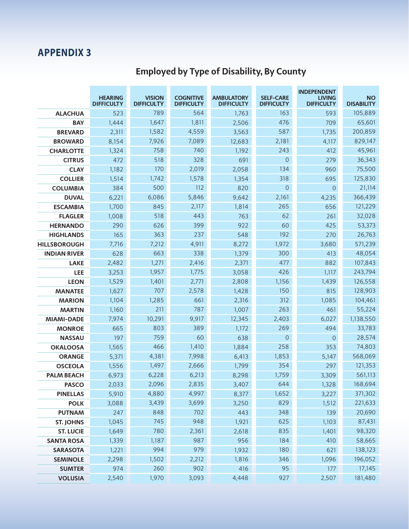# **Employed by Type of Disability, By County**

|                     | <b>HEARING</b><br><b>DIFFICULTY</b> | <b>VISION</b><br><b>DIFFICULTY</b> | <b>COGNITIVE</b><br><b>DIFFICULTY</b> | <b>AMBULATORY</b><br><b>DIFFICULTY</b> | <b>SELF-CARE</b><br><b>DIFFICULTY</b> | <b>INDEPENDENT</b><br><b>LIVING</b><br><b>DIFFICULTY</b> | <b>NO</b><br><b>DISABILITY</b> |
|---------------------|-------------------------------------|------------------------------------|---------------------------------------|----------------------------------------|---------------------------------------|----------------------------------------------------------|--------------------------------|
| <b>ALACHUA</b>      | 523                                 | 789                                | 564                                   | 1,763                                  | 163                                   | 593                                                      | 105,889                        |
| <b>BAY</b>          | 1.444                               | 1,647                              | 1,811                                 | 2,506                                  | 476                                   | 709                                                      | 65,601                         |
| <b>BREVARD</b>      | 2,311                               | 1,582                              | 4,559                                 | 3,563                                  | 587                                   | 1,735                                                    | 200,859                        |
| <b>BROWARD</b>      | 8,154                               | 7,926                              | 7,089                                 | 12,683                                 | 2,181                                 | 4,117                                                    | 829,147                        |
| <b>CHARLOTTE</b>    | 1,324                               | 758                                | 740                                   | 1,192                                  | 243                                   | 412                                                      | 45,961                         |
| <b>CITRUS</b>       | 472                                 | 518                                | 328                                   | 691                                    | $\overline{0}$                        | 279                                                      | 36,343                         |
| <b>CLAY</b>         | 1,182                               | 170                                | 2,019                                 | 2,058                                  | 134                                   | 960                                                      | 75,500                         |
| <b>COLLIER</b>      | 1,514                               | 1,742                              | 1,578                                 | 1,354                                  | 318                                   | 695                                                      | 125,830                        |
| <b>COLUMBIA</b>     | 384                                 | 500                                | 112                                   | 820                                    | $\Omega$                              | $\overline{0}$                                           | 21,114                         |
| <b>DUVAL</b>        | 6,221                               | 6,086                              | 5,846                                 | 9,642                                  | 2,161                                 | 4,235                                                    | 366,439                        |
| <b>ESCAMBIA</b>     | 1,700                               | 845                                | 2,117                                 | 1,814                                  | 265                                   | 656                                                      | 121,229                        |
| <b>FLAGLER</b>      | 1,008                               | 518                                | 443                                   | 763                                    | 62                                    | 261                                                      | 32,028                         |
| <b>HERNANDO</b>     | 290                                 | 626                                | 399                                   | 922                                    | 60                                    | 425                                                      | 53,373                         |
| <b>HIGHLANDS</b>    | 165                                 | 363                                | 237                                   | 548                                    | 192                                   | 270                                                      | 26,763                         |
| <b>HILLSBOROUGH</b> | 7,716                               | 7,212                              | 4,911                                 | 8,272                                  | 1,972                                 | 3,680                                                    | 571,239                        |
| <b>INDIAN RIVER</b> | 628                                 | 663                                | 338                                   | 1,379                                  | 300                                   | 413                                                      | 48,054                         |
| <b>LAKE</b>         | 2,482                               | 1,271                              | 2,416                                 | 2,371                                  | 477                                   | 882                                                      | 107,843                        |
| LEE                 | 3,253                               | 1,957                              | 1,775                                 | 3,058                                  | 426                                   | 1,117                                                    | 243,794                        |
| <b>LEON</b>         | 1,529                               | 1,401                              | 2,771                                 | 2,808                                  | 1,156                                 | 1,439                                                    | 126,558                        |
| <b>MANATEE</b>      | 1,627                               | 707                                | 2,578                                 | 1,428                                  | 150                                   | 815                                                      | 128,903                        |
| <b>MARION</b>       | 1,104                               | 1,285                              | 661                                   | 2,316                                  | 312                                   | 1,085                                                    | 104,461                        |
| <b>MARTIN</b>       | 1,160                               | 211                                | 787                                   | 1,007                                  | 263                                   | 461                                                      | 55,224                         |
| <b>MIAMI-DADE</b>   | 7,974                               | 10,291                             | 9,917                                 | 12,345                                 | 2,403                                 | 6,027                                                    | 1,138,550                      |
| <b>MONROE</b>       | 665                                 | 803                                | 389                                   | 1,172                                  | 269                                   | 494                                                      | 33,783                         |
| <b>NASSAU</b>       | 197                                 | 759                                | 60                                    | 638                                    | $\overline{0}$                        | $\theta$                                                 | 28,574                         |
| <b>OKALOOSA</b>     | 1,565                               | 466                                | 1,410                                 | 1,884                                  | 258                                   | 353                                                      | 74,803                         |
| <b>ORANGE</b>       | 5,371                               | 4,381                              | 7,998                                 | 6,413                                  | 1,853                                 | 5,147                                                    | 568,069                        |
| <b>OSCEOLA</b>      | 1,556                               | 1,497                              | 2,666                                 | 1,799                                  | 354                                   | 297                                                      | 121,353                        |
| <b>PALM BEACH</b>   | 6,973                               | 6,228                              | 6,213                                 | 8,298                                  | 1,759                                 | 3,309                                                    | 561,113                        |
| <b>PASCO</b>        | 2,033                               | 2,096                              | 2,835                                 | 3,407                                  | 644                                   | 1,328                                                    | 168,694                        |
| <b>PINELLAS</b>     | 5,910                               | 4,880                              | 4,997                                 | 8,377                                  | 1,652                                 | 3,227                                                    | 371,302                        |
| <b>POLK</b>         | 3,088                               | 3,439                              | 3,699                                 | 3,250                                  | 829                                   | 1,512                                                    | 221,633                        |
| <b>PUTNAM</b>       | 247                                 | 848                                | 702                                   | 443                                    | 348                                   | 139                                                      | 20,690                         |
| <b>ST. JOHNS</b>    | 1,045                               | 745                                | 948                                   | 1,921                                  | 625                                   | 1,103                                                    | 87,431                         |
| <b>ST. LUCIE</b>    | 1,649                               | 780                                | 2,361                                 | 2,618                                  | 835                                   | 1,401                                                    | 98,320                         |
| <b>SANTA ROSA</b>   | 1,339                               | 1,187                              | 987                                   | 956                                    | 184                                   | 410                                                      | 58,665                         |
| <b>SARASOTA</b>     | 1,221                               | 994                                | 979                                   | 1,932                                  | 180                                   | 621                                                      | 138,123                        |
| <b>SEMINOLE</b>     | 2,298                               | 1,502                              | 2,212                                 | 1,816                                  | 346                                   | 1,096                                                    | 196,052                        |
| <b>SUMTER</b>       | 974                                 | 260                                | 902                                   | 416                                    | 95                                    | 177                                                      | 17,145                         |
| <b>VOLUSIA</b>      | 2,540                               | 1,970                              | 3,093                                 | 4,448                                  | 927                                   | 2,507                                                    | 181,480                        |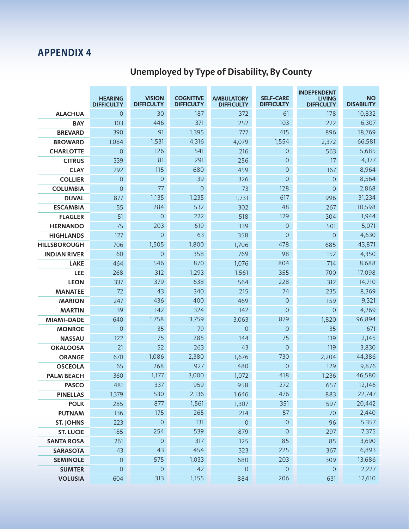# **Unemployed by Type of Disability, By County**

|                     | <b>HEARING</b><br><b>DIFFICULTY</b> | <b>VISION</b><br><b>DIFFICULTY</b> | <b>COGNITIVE</b><br><b>DIFFICULTY</b> | <b>AMBULATORY</b><br><b>DIFFICULTY</b> | <b>SELF-CARE</b><br><b>DIFFICULTY</b> | <b>INDEPENDENT</b><br><b>LIVING</b><br><b>DIFFICULTY</b> | <b>NO</b><br><b>DISABILITY</b> |
|---------------------|-------------------------------------|------------------------------------|---------------------------------------|----------------------------------------|---------------------------------------|----------------------------------------------------------|--------------------------------|
| <b>ALACHUA</b>      | $\overline{0}$                      | 30                                 | 187                                   | 372                                    | 61                                    | 178                                                      | 10,832                         |
| <b>BAY</b>          | 103                                 | 446                                | 371                                   | 252                                    | 103                                   | 222                                                      | 6,307                          |
| <b>BREVARD</b>      | 390                                 | 91                                 | 1,395                                 | 777                                    | 415                                   | 896                                                      | 18,769                         |
| <b>BROWARD</b>      | 1,084                               | 1,531                              | 4,316                                 | 4,079                                  | 1,554                                 | 2,372                                                    | 66,581                         |
| <b>CHARLOTTE</b>    | $\overline{0}$                      | 126                                | 541                                   | 216                                    | $\theta$                              | 563                                                      | 5,685                          |
| <b>CITRUS</b>       | 339                                 | 81                                 | 291                                   | 256                                    | $\theta$                              | 17                                                       | 4,377                          |
| <b>CLAY</b>         | 292                                 | 115                                | 680                                   | 459                                    | $\overline{0}$                        | 167                                                      | 8,964                          |
| <b>COLLIER</b>      | $\mathbf 0$                         | $\overline{0}$                     | 39                                    | 326                                    | $\overline{0}$                        | $\overline{0}$                                           | 8,564                          |
| <b>COLUMBIA</b>     | $\overline{0}$                      | 77                                 | $\overline{0}$                        | 73                                     | 128                                   | $\overline{0}$                                           | 2,868                          |
| <b>DUVAL</b>        | 877                                 | 1,135                              | 1,235                                 | 1,731                                  | 617                                   | 996                                                      | 31,234                         |
| <b>ESCAMBIA</b>     | 55                                  | 284                                | 532                                   | 302                                    | 48                                    | 267                                                      | 10,598                         |
| <b>FLAGLER</b>      | 51                                  | $\overline{0}$                     | 222                                   | 518                                    | 129                                   | 304                                                      | 1,944                          |
| <b>HERNANDO</b>     | 75                                  | 203                                | 619                                   | 139                                    | $\overline{0}$                        | 501                                                      | 5,071                          |
| <b>HIGHLANDS</b>    | 127                                 | $\overline{0}$                     | 63                                    | 358                                    | $\overline{0}$                        | $\overline{0}$                                           | 4,630                          |
| <b>HILLSBOROUGH</b> | 706                                 | 1,505                              | 1,800                                 | 1,706                                  | 478                                   | 685                                                      | 43,871                         |
| <b>INDIAN RIVER</b> | 60                                  | $\mathbf{O}$                       | 358                                   | 769                                    | 98                                    | 152                                                      | 4,350                          |
| <b>LAKE</b>         | 464                                 | 546                                | 870                                   | 1,076                                  | 804                                   | 714                                                      | 8,688                          |
| <b>LEE</b>          | 268                                 | 312                                | 1,293                                 | 1,561                                  | 355                                   | 700                                                      | 17,098                         |
| <b>LEON</b>         | 337                                 | 379                                | 638                                   | 564                                    | 228                                   | 312                                                      | 14,710                         |
| <b>MANATEE</b>      | 72                                  | 43                                 | 340                                   | 215                                    | 74                                    | 235                                                      | 8,369                          |
| <b>MARION</b>       | 247                                 | 436                                | 400                                   | 469                                    | $\overline{0}$                        | 159                                                      | 9,321                          |
| <b>MARTIN</b>       | 39                                  | 142                                | 324                                   | 142                                    | $\overline{0}$                        | $\overline{0}$                                           | 4,269                          |
| <b>MIAMI-DADE</b>   | 640                                 | 1,758                              | 3,759                                 | 3,063                                  | 879                                   | 1,820                                                    | 96,894                         |
| <b>MONROE</b>       | $\overline{0}$                      | 35                                 | 79                                    | $\theta$                               | $\overline{0}$                        | 35                                                       | 671                            |
| <b>NASSAU</b>       | 122                                 | 75                                 | 285                                   | 144                                    | 75                                    | 119                                                      | 2,145                          |
| <b>OKALOOSA</b>     | 21                                  | 52                                 | 263                                   | 43                                     | $\overline{0}$                        | 119                                                      | 3,830                          |
| <b>ORANGE</b>       | 670                                 | 1,086                              | 2,380                                 | 1,676                                  | 730                                   | 2,204                                                    | 44,386                         |
| <b>OSCEOLA</b>      | 65                                  | 268                                | 927                                   | 480                                    | $\theta$                              | 129                                                      | 9,876                          |
| <b>PALM BEACH</b>   | 360                                 | 1,177                              | 3,000                                 | 1,072                                  | 418                                   | 1,236                                                    | 46,580                         |
| <b>PASCO</b>        | 481                                 | 337                                | 959                                   | 958                                    | 272                                   | 657                                                      | 12,146                         |
| <b>PINELLAS</b>     | 1,379                               | 530                                | 2,136                                 | 1,646                                  | 476                                   | 883                                                      | 22,747                         |
| <b>POLK</b>         | 285                                 | 877                                | 1,561                                 | 1,307                                  | 351                                   | 597                                                      | 20,442                         |
| <b>PUTNAM</b>       | 136                                 | 175                                | 265                                   | 214                                    | 57                                    | 70                                                       | 2,440                          |
| <b>ST. JOHNS</b>    | 223                                 | $\mathsf O$                        | 131                                   | $\mathbf 0$                            | $\mathsf{O}\xspace$                   | 96                                                       | 5,357                          |
| <b>ST. LUCIE</b>    | 185                                 | 254                                | 539                                   | 879                                    | $\overline{0}$                        | 297                                                      | 7,375                          |
| <b>SANTA ROSA</b>   | 261                                 | $\theta$                           | 317                                   | 125                                    | 85                                    | 85                                                       | 3,690                          |
| <b>SARASOTA</b>     | 43                                  | 43                                 | 454                                   | 323                                    | 225                                   | 367                                                      | 6,893                          |
| <b>SEMINOLE</b>     | $\overline{0}$                      | 575                                | 1,033                                 | 680                                    | 203                                   | 309                                                      | 13,686                         |
| <b>SUMTER</b>       | $\overline{0}$                      | $\mathbf{O}$                       | 42                                    | $\mathsf{O}$                           | $\theta$                              | $\mathsf{O}$                                             | 2,227                          |
| <b>VOLUSIA</b>      | 604                                 | 313                                | 1,155                                 | 884                                    | 206                                   | 631                                                      | 12,610                         |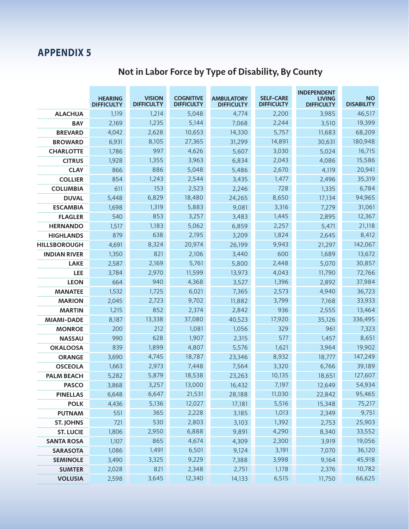|                     | <b>HEARING</b><br><b>DIFFICULTY</b> | <b>VISION</b><br><b>DIFFICULTY</b> | <b>COGNITIVE</b><br><b>DIFFICULTY</b> | <b>AMBULATORY</b><br><b>DIFFICULTY</b> | <b>SELF-CARE</b><br><b>DIFFICULTY</b> | <b>INDEPENDENT</b><br><b>LIVING</b><br><b>DIFFICULTY</b> | <b>NO</b><br><b>DISABILITY</b> |
|---------------------|-------------------------------------|------------------------------------|---------------------------------------|----------------------------------------|---------------------------------------|----------------------------------------------------------|--------------------------------|
| <b>ALACHUA</b>      | 1,119                               | 1,214                              | 5,048                                 | 4,774                                  | 2,200                                 | 3,985                                                    | 46,517                         |
| <b>BAY</b>          | 2,169                               | 1,235                              | 5,144                                 | 7,068                                  | 2,244                                 | 3,510                                                    | 19,399                         |
| <b>BREVARD</b>      | 4.042                               | 2,628                              | 10,653                                | 14,330                                 | 5,757                                 | 11,683                                                   | 68,209                         |
| <b>BROWARD</b>      | 6,931                               | 8,105                              | 27,365                                | 31,299                                 | 14,891                                | 30,631                                                   | 180,948                        |
| <b>CHARLOTTE</b>    | 1,786                               | 997                                | 4,626                                 | 5,607                                  | 3,030                                 | 5,024                                                    | 16,715                         |
| <b>CITRUS</b>       | 1,928                               | 1,355                              | 3,963                                 | 6,834                                  | 2,043                                 | 4,086                                                    | 15,586                         |
| <b>CLAY</b>         | 866                                 | 886                                | 5,048                                 | 5,486                                  | 2,670                                 | 4,119                                                    | 20,941                         |
| <b>COLLIER</b>      | 854                                 | 1,243                              | 2,544                                 | 3,435                                  | 1,477                                 | 2,496                                                    | 35,319                         |
| <b>COLUMBIA</b>     | 611                                 | 153                                | 2,523                                 | 2,246                                  | 728                                   | 1,335                                                    | 6,784                          |
| <b>DUVAL</b>        | 5,448                               | 6,829                              | 18,480                                | 24,265                                 | 8,650                                 | 17,134                                                   | 94,965                         |
| <b>ESCAMBIA</b>     | 1,698                               | 1,319                              | 5,883                                 | 9,081                                  | 3,316                                 | 7,279                                                    | 31,061                         |
| <b>FLAGLER</b>      | 540                                 | 853                                | 3,257                                 | 3,483                                  | 1,445                                 | 2,895                                                    | 12,367                         |
| <b>HERNANDO</b>     | 1,517                               | 1,183                              | 5,062                                 | 6,859                                  | 2,257                                 | 5,471                                                    | 21,118                         |
| <b>HIGHLANDS</b>    | 879                                 | 638                                | 2,195                                 | 3,209                                  | 1,824                                 | 2,645                                                    | 8,412                          |
| <b>HILLSBOROUGH</b> | 4,691                               | 8,324                              | 20,974                                | 26,199                                 | 9,943                                 | 21,297                                                   | 142,067                        |
| <b>INDIAN RIVER</b> | 1,350                               | 821                                | 2,106                                 | 3,440                                  | 600                                   | 1,689                                                    | 13,672                         |
| <b>LAKE</b>         | 2,587                               | 2,169                              | 5,761                                 | 5,800                                  | 2,448                                 | 5,070                                                    | 30,857                         |
| LEE                 | 3,784                               | 2,970                              | 11,599                                | 13,973                                 | 4,043                                 | 11,790                                                   | 72,766                         |
| <b>LEON</b>         | 664                                 | 940                                | 4,368                                 | 3,527                                  | 1,396                                 | 2,892                                                    | 37,984                         |
| <b>MANATEE</b>      | 1,532                               | 1,725                              | 6,021                                 | 7,365                                  | 2,573                                 | 4,940                                                    | 36,723                         |
| <b>MARION</b>       | 2,045                               | 2,723                              | 9,702                                 | 11,882                                 | 3,799                                 | 7,168                                                    | 33,933                         |
| <b>MARTIN</b>       | 1,215                               | 852                                | 2,374                                 | 2,842                                  | 936                                   | 2,555                                                    | 13,464                         |
| <b>MIAMI-DADE</b>   | 8,187                               | 13,338                             | 37,080                                | 40,523                                 | 17,920                                | 35,126                                                   | 336,495                        |
| <b>MONROE</b>       | 200                                 | 212                                | 1,081                                 | 1,056                                  | 329                                   | 961                                                      | 7,323                          |
| <b>NASSAU</b>       | 990                                 | 628                                | 1,907                                 | 2,315                                  | 577                                   | 1,457                                                    | 8,651                          |
| <b>OKALOOSA</b>     | 839                                 | 1,899                              | 4,807                                 | 5,576                                  | 1,621                                 | 3,964                                                    | 19,902                         |
| <b>ORANGE</b>       | 3,690                               | 4,745                              | 18,787                                | 23,346                                 | 8,932                                 | 18,777                                                   | 147,249                        |
| <b>OSCEOLA</b>      | 1,663                               | 2,973                              | 7,448                                 | 7,564                                  | 3,320                                 | 6,766                                                    | 39,189                         |
| <b>PALM BEACH</b>   | 5,282                               | 5,879                              | 18,538                                | 23,263                                 | 10,135                                | 18,651                                                   | 127,607                        |
| <b>PASCO</b>        | 3,868                               | 3,257                              | 13,000                                | 16,432                                 | 7,197                                 | 12,649                                                   | 54,934                         |
| <b>PINELLAS</b>     | 6,648                               | 6,647                              | 21,531                                | 28,188                                 | 11,030                                | 22,842                                                   | 95,465                         |
| <b>POLK</b>         | 4,436                               | 5,136                              | 12,027                                | 17,181                                 | 5,516                                 | 15,348                                                   | 75,217                         |
| <b>PUTNAM</b>       | 551                                 | 365                                | 2,228                                 | 3,185                                  | 1,013                                 | 2,349                                                    | 9,751                          |
| <b>ST. JOHNS</b>    | 721                                 | 530                                | 2,803                                 | 3,103                                  | 1,392                                 | 2,753                                                    | 25,903                         |
| <b>ST. LUCIE</b>    | 1,806                               | 2,950                              | 6,888                                 | 9,891                                  | 4,290                                 | 8,340                                                    | 33,552                         |
| <b>SANTA ROSA</b>   | 1,107                               | 865                                | 4,674                                 | 4,309                                  | 2,300                                 | 3,919                                                    | 19,056                         |
| <b>SARASOTA</b>     | 1,086                               | 1,491                              | 6,501                                 | 9,124                                  | 3,191                                 | 7,070                                                    | 36,120                         |
| <b>SEMINOLE</b>     | 3,490                               | 3,325                              | 9,229                                 | 7,388                                  | 3,998                                 | 9,164                                                    | 45,918                         |
| <b>SUMTER</b>       | 2,028                               | 821                                | 2,348                                 | 2,751                                  | 1,178                                 | 2,376                                                    | 10,782                         |
| <b>VOLUSIA</b>      | 2,598                               | 3,645                              | 12,340                                | 14,133                                 | 6,515                                 | 11,750                                                   | 66,625                         |

# **Not in Labor Force by Type of Disability, By County**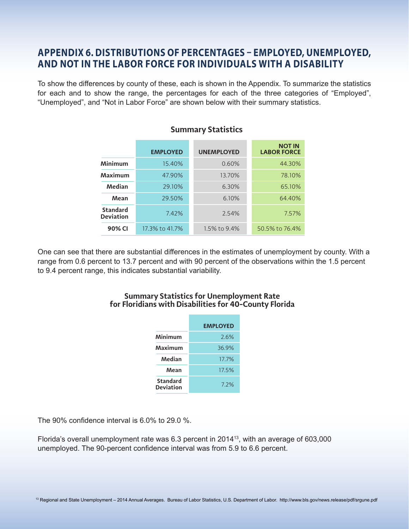### **APPENDIX 6. DISTRIBUTIONS OF PERCENTAGES – EMPLOYED, UNEMPLOYED, AND NOT IN THE LABOR FORCE FOR INDIVIDUALS WITH A DISABILITY**

To show the differences by county of these, each is shown in the Appendix. To summarize the statistics for each and to show the range, the percentages for each of the three categories of "Employed", "Unemployed", and "Not in Labor Force" are shown below with their summary statistics.

|                                     | <b>EMPLOYED</b> | <b>UNEMPLOYED</b> | <b>NOT IN</b><br><b>LABOR FORCE</b> |
|-------------------------------------|-----------------|-------------------|-------------------------------------|
| <b>Minimum</b>                      | 15.40%          | 0.60%             | 44.30%                              |
| Maximum                             | 47.90%          | 13.70%            | 78.10%                              |
| Median                              | 29.10%          | 6.30%             | 65.10%                              |
| Mean                                | 29.50%          | 6.10%             | 64.40%                              |
| <b>Standard</b><br><b>Deviation</b> | 7.42%           | 2.54%             | 7.57%                               |
| 90% CI                              | 17.3% to 41.7%  | 1.5% to 9.4%      | 50.5% to 76.4%                      |

#### **Summary Statistics**

One can see that there are substantial differences in the estimates of unemployment by county. With a range from 0.6 percent to 13.7 percent and with 90 percent of the observations within the 1.5 percent to 9.4 percent range, this indicates substantial variability.

#### **Summary Statistics for Unemployment Rate for Floridians with Disabilities for 40-County Florida**

|                                     | <b>EMPLOYED</b> |
|-------------------------------------|-----------------|
| Minimum                             | 2.6%            |
| Maximum                             | 36.9%           |
| Median                              | 17.7%           |
| Mean                                | 17.5%           |
| <b>Standard</b><br><b>Deviation</b> | 7.2%            |

The 90% confidence interval is 6.0% to 29.0 %.

Florida's overall unemployment rate was  $6.3$  percent in  $2014^{13}$ , with an average of  $603,000$ unemployed. The 90-percent confidence interval was from 5.9 to 6.6 percent.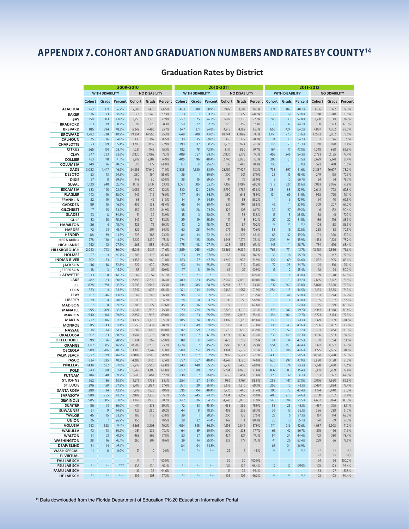# **APPENDIX 7. COHORT AND GRADUATION NUMBERS AND RATES BY COUNTY14**

|                                          |                 |                        |                | 2009-2010      |                      |                |                                                                          |                               |                   | 2010-2011            |                |                |            |                        | 2011-2012                  |                |                |                   |
|------------------------------------------|-----------------|------------------------|----------------|----------------|----------------------|----------------|--------------------------------------------------------------------------|-------------------------------|-------------------|----------------------|----------------|----------------|------------|------------------------|----------------------------|----------------|----------------|-------------------|
|                                          |                 | <b>WITH DISABILITY</b> |                |                | <b>NO DISABILITY</b> |                | <b>WITH DISABILITY</b><br><b>WITH DISABILITY</b><br><b>NO DISABILITY</b> |                               |                   | <b>NO DISABILITY</b> |                |                |            |                        |                            |                |                |                   |
|                                          | Cohort          | Grads                  | <b>Percent</b> | Cohort         | Grads                | Percent        | Cohort                                                                   | Grads                         | Percent           | Cohort               | Grads          | <b>Percent</b> | Cohort     | Grads                  | Percent                    | Cohort         | Grads          | <b>Percent</b>    |
| <b>ALACHUA</b>                           | 472             | 171                    | 36.2%          | 2,081          | 1,426                | 68.5%          | 463                                                                      | 180                           | 38.9%             | 1,999                | 1,381          | 69.1%          | 374        | 182                    | 48.7%                      | 1,816          | 1,322          | 72.8%             |
| <b>BAKER</b>                             | 36              | 13                     | 36.1%          | 361            | 243                  | 67.3%          | 33                                                                       | $\overline{\mathbf{1}}$       | 33.3%             | 333                  | 227            | 68.2%          | 38         | 19                     | 50.0%                      | 318            | 240            | 75.5%             |
| BAY                                      | 258<br>63       | 113<br>19              | 43.8%<br>30.2% | 1,753<br>211   | 1,278<br>123         | 72.9%<br>58.3% | 297<br>59                                                                | 125<br>22                     | 42.1%<br>37.3%    | 1,699<br>226         | 1,235          | 72.7%<br>67.3% | 246<br>38  | 130<br>17              | 52.8%<br>44.7%             | 1,710<br>180   | 1,311<br>123   | 76.7%<br>68.3%    |
| <b>BRADFORD</b><br><b>BREVARD</b>        | 815             | 394                    | 48.3%          | 5,249          | 4,496                | 85.7%          | 677                                                                      | 371                           | 54.8%             | 4,915                | 152<br>4,182   | 85.1%          | 660        | 424                    | 64.2%                      | 4,887          | 4,302          | 88.0%             |
| <b>BROWARD</b>                           | 1,782           | 728                    | 40.9%          | 19,354         | 14,565               | 75.3%          | 1,648                                                                    | 708                           | 43.0%             | 18,744               | 13,892         | 74.1%          | 1,491      | 770                    | 51.6%                      | 17,583         | 13,802         | 78.5%             |
| <b>CALHOUN</b>                           | 25              | 16                     | 64.0%          | 130            | 102                  | 78.5%          | 30                                                                       | 15                            | 50.0%             | 155                  | 122            | 78.7%          | 24         | 13                     | 54.2%                      | 117            | 96             | 82.1%             |
| <b>CHARLOTTE</b>                         | 323             | 179                    | 55.4%          | 1,295          | 1,009                | 77.9%          | 290                                                                      | 147                           | 50.7%             | 1,273                | 994            | 78.1%          | 186        | 121                    | 65.1%                      | 1,191          | 970            | 81.4%             |
| <b>CITRUS</b><br><b>CLAY</b>             | 265<br>547      | 101<br>293             | 38.1%<br>53.6% | 1,251<br>2,820 | 942<br>2,062         | 75.3%<br>73.1% | 182<br>489                                                               | 78<br>287                     | 42.9%<br>58.7%    | 1,117<br>2,820       | 890<br>2,175   | 79.7%<br>77.1% | 164<br>453 | 77<br>246              | 47.0%<br>54.3%             | 1,048<br>2,783 | 868<br>2,155   | 82.8%<br>77.4%    |
| <b>COLLIER</b>                           | 433             | 178                    | 41.1%          | 2,919          | 2,187                | 74.9%          | 405                                                                      | 196                           | 48.4%             | 2,740                | 2,085          | 76.1%          | 293        | 151                    | 51.5%                      | 2,629          | 2,141          | 81.4%             |
| COLUMBIA                                 | 140             | 26                     | 18.6%          | 701            | 477                  | 68.0%          | 121                                                                      | 31                            | 25.6%             | 637                  | 448            | 70.3%          | 100        | 31                     | 31.0%                      | 593            | 418            | 70.5%             |
| <b>DADE</b>                              | 3,083           | 1,447                  | 46.9%          | 24,855         | 17,640               | 71.0%          | 2,838                                                                    | 1,530                         | 53.9%             | 23,757               | 17,424         | 73.3%          | 1,738      | 897                    | 51.6%                      | 21,387         | 16,677         | 78.0%             |
| <b>DESOTO</b><br><b>DIXIE</b>            | 53<br>27        | 13<br>$\,$ 8 $\,$      | 24.5%<br>29.6% | 280<br>148     | 164<br>90            | 58.6%<br>60.8% | 36<br>38                                                                 | $\overline{\mathbf{1}}$<br>15 | 30.6%<br>39.5%    | 300<br> 4            | 201<br>79      | 67.0%<br>56.0% | 28<br>15   | 13<br>10               | 46.4%<br>66.7%             | 249<br>94      | 175<br>74      | 70.3%<br>78.7%    |
| <b>DUVAL</b>                             | 1,120           | 248                    | 22.1%          | 8,119          | 5,137                | 63.3%          | 1,081                                                                    | 315                           | 29.1%             | 7,457                | 5,087          | 68.2%          | 918        | 327                    | 35.6%                      | 7,063          | 5,076          | 71.9%             |
| <b>ESCAMBIA</b>                          | 633             | 145                    | 22.9%          | 3,056          | 1,900                | 62.2%          | 510                                                                      | 121                           | 23.7%             | 2,799                | 1,787          | 63.8%          | 384        | 88                     | 22.9%                      | 2,642          | 1,792          | 67.8%             |
| <b>FLAGLER</b>                           | 143             | 40                     | 28.0%          | 942            | 716                  | 76.0%          | 147                                                                      | 54                            | 36.7%             | 850                  | 645            | 75.9%          | 134        | 69                     | 51.5%                      | 928            | 725            | 78.1%             |
| <b>FRANKLIN</b><br><b>GADSDEN</b>        | 22<br>89        | 10<br>15               | 45.5%<br>16.9% | 68<br>409      | 42<br>198            | 61.8%<br>48.4% | 14<br>46                                                                 | $\overline{9}$<br>14          | 64.3%<br>30.4%    | 91<br>337            | 53<br>197      | 58.2%<br>58.5% | 14<br>46   | 6<br>$\overline{11}$   | 42.9%<br>23.9%             | 64<br>309      | 40<br>207      | 62.5%<br>67.0%    |
| <b>GILCHRIST</b>                         | 47              | 25                     | 53.2%          | 159            | 135                  | 84.9%          | 38                                                                       | 28                            | 73.7%             | 126                  | 103            | 81.7%          | 39         | 27                     | 69.2%                      | 146            | 132            | 90.4%             |
| <b>GLADES</b>                            | 23              | $\,$ 8 $\,$            | 34.8%          | 61             | 39                   | 63.9%          | 15                                                                       | $\overline{\mathbf{3}}$       | 20.0%             | 71                   | 38             | 53.5%          | 13         | 5                      | 38.5%                      | 58             | 41             | 70.7%             |
| <b>GULF</b>                              | 33              | 25                     | 75.8%          | 149            | 124                  | 83.2%          | 29                                                                       | 19                            | 65.5%             | 4                    | 113            | 80.1%          | 27         | 22                     | 81.5%                      | 136            | 116            | 85.3%             |
| <b>HAMILTON</b>                          | 26              | $\overline{4}$<br>31   | 15.4%<br>43.1% | 126<br>322     | 76<br>207            | 60.3%<br>64.3% | 13<br>63                                                                 | $\overline{2}$<br>28          | 15.4%<br>44.4%    | 124<br>272           | 87<br>192      | 70.2%          | $**$<br>58 | $\star\star$<br>19     | $\star\star\star$<br>32.8% | 103<br>258     | 58<br>182      | 56.3%             |
| <b>HARDEE</b><br><b>HENDRY</b>           | 72<br>88        | 39                     | 44.3%          | 523            | 383                  | 73.2%          | 84                                                                       | 44                            | 52.4%             | 448                  | 305            | 70.6%<br>68.1% | 65         | 32                     | 49.2%                      | 414            | 320            | 70.5%<br>77.3%    |
| <b>HERNANDO</b>                          | 278             | 120                    | 43.2%          | 1,627          | 1,190                | 73.1%          | 274                                                                      | 125                           | 45.6%             | 1,543                | 1,174          | 76.1%          | 205        | 94                     | 45.9%                      | 1,433          | 1,121          | 78.2%             |
| <b>HIGHLANDS</b>                         | 152             | 42                     | 27.6%          | 865            | 555                  | 64.2%          | 175                                                                      | 48                            | 27.4%             | 828                  | 556            | 67.1%          | 143        | 41                     | 28.7%                      | 754            | 516            | 68.4%             |
| HILLSBOROUGH                             | 2,063           | 743                    | 36.0%          | 13,016         | 9,317                | 71.6%          | 1,859                                                                    | 765                           | 41.2%             | 12,562               | 9,234          | 73.5%          | 1,766      | 771                    | 43.7%                      | 12,481         | 9,566          | 76.6%             |
| <b>HOLMES</b><br><b>INDIAN RIVER</b>     | 27<br>202       | $\overline{11}$<br>83  | 40.7%<br>41.1% | 203<br>1,358   | 168<br>964           | 82.8%<br>71.0% | 33<br>163                                                                | 19<br>77                      | 57.6%<br>47.2%    | 188<br>1,249         | 147<br>935     | 78.2%<br>74.9% | 35<br>122  | 16<br>69               | 45.7%<br>56.6%             | 189<br>1,082   | 147<br>905     | 77.8%<br>83.6%    |
| <b>JACKSON</b>                           | 116             | 38                     | 32.8%          | 527            | 400                  | 75.9%          | 93                                                                       | 24                            | 25.8%             | 437                  | 319            | 73.0%          | 72         | 25                     | 34.7%                      | 421            | 316            | 75.1%             |
| <b>JEFFERSON</b>                         | 18              | 3                      | 16.7%          | 53             | 27                   | 50.9%          | 17                                                                       | 5                             | 29.4%             | 66                   | 27             | 40.9%          | 13         | $\overline{2}$         | 15.4%                      | 48             | 24             | 50.0%             |
| <b>LAFAYETTE</b>                         | 13              | 8                      | 61.5%          | 67             | 57                   | 85.1%          | $^{\star\star}$                                                          | $\star\star$                  | $*** +$           | 72                   | 50             | 69.4%          | 10         | $\overline{4}$         | 40.0%                      | 69             | 48             | 69.6%             |
| LAKE<br>LEE                              | 482<br>828      | 183<br>291             | 38.0%<br>35.1% | 2,893<br>5,243 | 2,209<br>3,946       | 76.4%<br>75.3% | 400<br>744                                                               | 183<br>285                    | 45.8%<br>38.3%    | 2,562<br>5,204       | 2,050<br>3,813 | 80.0%<br>73.3% | 307<br>637 | 151<br>260             | 49.2%<br>40.8%             | 2,665<br>5,078 | 2,172<br>3,850 | 81.5%<br>75.8%    |
| <b>LEON</b>                              | 333             | 111                    | 33.3%          | 2,347          | 1,605                | 68.4%          | 321                                                                      | 144                           | 44.9%             | 2,165                | 1,557          | 71.9%          | 254        | 118                    | 46.5%                      | 2,134          | 1,585          | 74.3%             |
| LEVY                                     | 107             | 46                     | 43.0%          | 371            | 246                  | 66.3%          | 98                                                                       | 51                            | 52.0%             | 351                  | 223            | 63.5%          | 88         | 44                     | 50.0%                      | 283            | 224            | 79.2%             |
| LIBERTY                                  | 20              | $\overline{4}$         | 20.0%          | 90             | 60                   | 66.7%          | 24                                                                       | 8                             | 33.3%             | 90                   | 53             | 58.9%          | 10         | $\overline{4}$         | 40.0%                      | 85             | 57             | 67.1%             |
| <b>MADISON</b><br><b>MANATEE</b>         | 37<br>595       | $\,$ 8 $\,$<br>209     | 21.6%<br>35.1% | 203<br>2,641   | 127<br>1,988         | 62.6%<br>75.3% | 45<br>570                                                                | 16<br>224                     | 35.6%<br>39.3%    | 172<br>2,726         | 108<br>1,910   | 62.8%<br>70.1% | 21<br>376  | $\overline{11}$<br>187 | 52.4%<br>49.7%             | 145<br>2,347   | 99<br>1,888    | 68.3%<br>80.4%    |
| <b>MARION</b>                            | 540             | 161                    | 29.8%          | 2,852          | 1,968                | 69.0%          | 454                                                                      | 163                           | 35.9%             | 2,743                | 2,068          | 75.4%          | 384        | 164                    | 42.7%                      | 2,723          | 2,174          | 79.8%             |
| <b>MARTIN</b>                            | 222             | 116                    | 52.3%          | 1,422          | 1,125                | 79.1%          | 205                                                                      | 124                           | 60.5%             | 1,309                | 1,123          | 85.8%          | 180        | 110                    | 61.1%                      | 1,329          | 1,171          | 88.1%             |
| <b>MONROE</b>                            | 115             | 43                     | 37.4%          | 555            | 434                  | 78.2%          | 123                                                                      | 49                            | 39.8%             | 610                  | 438            | 71.8%          | 106        | 43                     | 40.6%                      | 586            | 432            | 73.7%             |
| <b>NASSAU</b>                            | 118<br>302      | 61<br>183              | 51.7%<br>60.6% | 807<br>1,902   | 646<br>1,716         | 80.0%<br>90.2% | 112<br>249                                                               | 59<br>157                     | 52.7%<br>63.1%    | 775<br>1,874         | 650<br>1,637   | 83.9%<br>87.4% | 73<br>239  | 52<br>149              | 71.2%<br>62.3%             | 717<br>1,816   | 651<br>1,563   | 90.8%<br>86.1%    |
| <b>OKALOOSA</b><br><b>OKEECHOBEE</b>     | 90              | 26                     | 28.9%          | 414            | 269                  | 65.0%          | 89                                                                       | 31                            | 34.8%             | 428                  | 289            | 67.5%          | 84         | 34                     | 40.5%                      | 371            | 234            | 63.1%             |
| <b>ORANGE</b>                            | 1,717           | 805                    | 46.9%          | 10,907         | 8,258                | 75.7%          | 1,724                                                                    | 787                           | 45.6%             | 11,560               | 8,704          | 75.3%          | 1,554      | 768                    | 49.4%                      | 11,392         | 8,797          | 77.2%             |
| <b>OSCEOLA</b>                           | 509             | 206                    | 40.5%          | 3,390          | 2,747                | 81.0%          | 509                                                                      | 251                           | 49.3%             | 3,394                | 2,719          | 80.1%          | 415        | 206                    | 49.6%                      | 3,275          | 2,655          | 81.1%             |
| <b>PALM BEACH</b>                        | 1,772           | 829                    | 46.8%          | 12,089         | 9,540                | 78.9%          | 1,639                                                                    | 867                           | 52.9%             | 11,989               | 9,261          | 77.2%          | 1,433      | 781                    | 54.5%                      | 11,641         | 9,288          | 79.8%             |
| PASCO<br><b>PINELLAS</b>                 | 834<br>1,438    | 335<br>532             | 40.2%<br>37.0% | 4,283<br>7,977 | 3,101<br>5,568       | 72.4%<br>69.8% | 737<br>1,240                                                             | 357<br>440                    | 48.4%<br>35.5%    | 4,247<br>7,733       | 3,180<br>5,406 | 74.9%<br>69.9% | 620<br>888 | 297<br>374             | 47.9%<br>42.1%             | 3,890<br>7,178 | 3,158<br>5,430 | 81.2%<br>75.6%    |
| POLK                                     | 1,143           | 370                    | 32.4%          | 5,967          | 4,103                | 68.8%          | 897                                                                      | 339                           | 37.8%             | 5,784                | 4,096          | 70.8%          | 832        | 303                    | 36.4%                      | 5,471          | 3,959          | 72.4%             |
| <b>PUTNAM</b>                            | 184             | 40                     | 21.7%          | 690            | 464                  | 67.2%          | 138                                                                      | 37                            | 26.8%             | 655                  | 464            | 70.8%          | 123        | 39                     | 31.7%                      | 617            | 397            | 64.3%             |
| <b>ST. JOHNS</b>                         | 262             | 136                    | 51.9%          | 1,972          | 1,738                | 88.1%          | 254                                                                      | 157                           | 61.8%             | 1,989                | 1,767          | 88.8%          | 258        | 147                    | 57.0%                      | 2,076          | 1,860          | 89.6%             |
| <b>ST. LUCIE</b><br><b>SANTA ROSA</b>    | 396<br>289      | 150<br>124             | 37.9%<br>42.9% | 2,797<br>1,919 | 1,884<br>1,525       | 67.4%<br>79.5% | 351<br>215                                                               | 129<br>104                    | 36.8%<br>48.4%    | 2,612<br>1,770       | 1,810<br>1,440 | 69.3%<br>81.4% | 255<br>193 | 110<br>78              | 43.1%<br>40.4%             | 2,497<br>1,774 | 1,834<br>1,440 | 73.4%<br>81.2%    |
| <b>SARASOTA</b>                          | 589             | 255                    | 43.3%          | 2,899          | 2,235                | 77.1%          | 556                                                                      | 245                           | 44.1%             | 2,834                | 2,152          | 75.9%          | 403        | 220                    | 54.6%                      | 2,768          | 2,252          | 81.4%             |
| <b>SEMINOLE</b>                          | 585             | 315                    | 53.8%          | 4,871          | 3,930                | 80.7%          | 617                                                                      | 336                           | 54.5%             | 4,743                | 3,886          | 81.9%          | 548        | 304                    | 55.5%                      | 4,652          | 3,874          | 83.3%             |
| <b>SUMTER</b>                            | 86              | 31                     | 36.0%          | 471            | 378                  | 80.3%          | 72                                                                       | 33                            | 45.8%             | 458                  | 366            | 79.9%          | 58         | 25                     | 43.1%                      | 457            | 375            | 82.1%             |
| SUWANNEE                                 | 61<br>45        | 9<br>15                | 14.8%<br>33.3% | 422<br>185     | 250<br>118           | 59.2%<br>63.8% | 44<br>39                                                                 | $\,$ 8<br>$\overline{11}$     | 18.2%<br>28.2%    | 403<br>200           | 235<br>135     | 58.3%<br>67.5% | 36<br>22   | 13<br>$\sqrt{6}$       | 36.1%<br>27.3%             | 386<br>167     | 238<br>114     | 61.7%<br>68.3%    |
| <b>TAYLOR</b><br><b>UNION</b>            | 26              | $\overline{7}$         | 26.9%          | 156            | 110                  | 70.5%          | 29                                                                       | 12                            | 41.4%             | 142                  | 114            | 80.3%          | 28         | 10                     | 35.7%                      | 141            | 109            | 77.3%             |
| <b>VOLUSIA</b>                           | 963             | 328                    | 34.1%          | 4,563          | 3,203                | 70.2%          | 954                                                                      | 345                           | 36.2%             | 4,195                | 2,849          | 67.9%          | 741        | 316                    | 42.6%                      | 4,087          | 2,908          | 71.2%             |
| <b>WAKULLA</b>                           | 43              | 13                     | 30.2%          | 331            | 232                  | 70.1%          | 64                                                                       | 39                            | 60.9%             | 300                  | 233            | 77.7%          | 63         | 42                     | 66.7%                      | 275            | 196            | 71.3%             |
| <b>WALTON</b>                            | 51              | 21                     | 41.2%          | 465            | 362                  | 77.8%          | 53                                                                       | 27                            | 50.9%             | 424                  | 327            | 77.1%          | 54         | 24                     | 44.4%                      | 421            | 330            | 78.4%             |
| <b>WASHINGTON</b><br><b>DEAF/BLIND</b>   | 38<br>81        | 16<br>44               | 42.1%<br>54.3% | 260            | 207                  | 79.6%          | 39<br>84                                                                 | 14<br>54                      | 35.9%<br>64.3%    | 239                  | 177            | 74.1%          | 41<br>65   | 26<br>24               | 63.4%<br>36.9%             | 229            | 166            | 72.5%             |
| <b>WASH SPECIAL</b>                      | 11              | $\mathsf{O}\xspace$    | 0.0%           | 21             | $\,0\,$              | $0.0\%$        | $\star\star$                                                             | $^{\star\star}$               | $\star\star\star$ | 22                   | $\mathbf{1}$   | 4.5%           | **         | $\star\star$           | $\star\star\star$          | $\star\star$   | $\star\star$   | $\star\star\star$ |
| <b>FL VIRTUAL</b>                        |                 |                        |                |                |                      |                |                                                                          |                               |                   |                      |                |                |            |                        |                            | $\star\star$   | $\star\star$   | $\star\star\star$ |
| <b>FAU LAB SCH</b>                       |                 |                        |                | 14             | 14                   | 100.0%         |                                                                          |                               |                   | 30                   | 30             | 100.0%         |            |                        |                            | 24             | 24             | 100.0%            |
| <b>FSU LAB SCH</b>                       | $^{\star\star}$ | $\pm\pm$               | $***$          | 138            | 134                  | 97.1%          | $^{\star\star}$                                                          | $\star\star$                  | $***$             | 127                  | 125            | 98.4%          | 12         | 12                     | 100.0%                     | 125            | 123            | 98.4%             |
| <b>FAMU LAB SCH</b><br><b>UF LAB SCH</b> | $\star\star$    | $\star\star$           | $*** +$        | 37<br>106      | 35<br>103            | 94.6%<br>97.2% | $^{\star\star}$                                                          | $\star\star$                  | $\star\star\star$ | 41<br>106            | 39<br>102      | 95.1%<br>96.2% | $**$       | $\star\star$           | $\star\star\star$          | 33<br>108      | 27<br>102      | 81.8%<br>94.4%    |
|                                          |                 |                        |                |                |                      |                |                                                                          |                               |                   |                      |                |                |            |                        |                            |                |                |                   |

# **Graduation Rates by District**

14 Data downloaded from the Florida Department of Education PK-20 Education Information Portal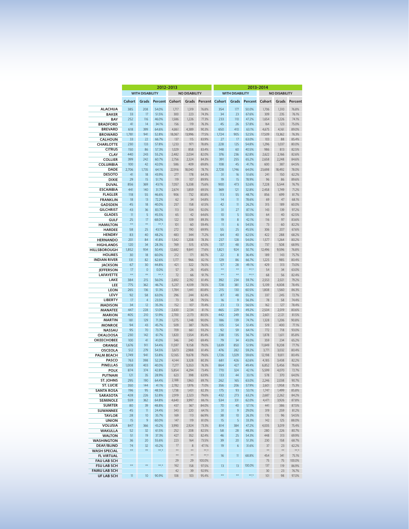|                                        | 2012-2013<br>2013-2014 |                        |                   |                 |                      |                   |                 |                        |                   |                 |                      |                |  |
|----------------------------------------|------------------------|------------------------|-------------------|-----------------|----------------------|-------------------|-----------------|------------------------|-------------------|-----------------|----------------------|----------------|--|
|                                        |                        | <b>WITH DISABILITY</b> |                   |                 | <b>NO DISABILITY</b> |                   |                 | <b>WITH DISABILITY</b> |                   |                 | <b>NO DISABILITY</b> |                |  |
|                                        | Cohort                 | Grads                  | Percent           | Cohort          | Grads                | <b>Percent</b>    | Cohort          | Grads                  | Percent           | Cohort          | Grads                | Percent        |  |
| <b>ALACHUA</b>                         | 385                    | 208                    | 54.0%             | 1,717           | 1,319                | 76.8%             | 354             | 177                    | 50.0%             | 1,706           | 1,310                | 76.8%          |  |
| <b>BAKER</b>                           | 33                     | 17                     | 51.5%             | 300             | 223                  | 74.3%             | 34              | 23                     | 67.6%             | 309             | 235                  | 76.1%          |  |
| BAY                                    | 252                    | 116                    | 46.0%             | 1,586           | 1,226                | 77.3%             | 233             | 110                    | 47.2%             | 1,654           | 1,226                | 74.1%          |  |
| <b>BRADFORD</b>                        | 41                     | 14                     | 34.1%             | 156             | 119                  | 76.3%             | 45              | 26                     | 57.8%             | 164             | 123                  | 75.0%          |  |
| <b>BREVARD</b><br><b>BROWARD</b>       | 618<br>1,781           | 399<br>941             | 64.6%<br>52.8%    | 4,861<br>18,067 | 4,389<br>13,996      | 90.3%<br>77.5%    | 650<br>1,724    | 410<br>905             | 63.1%<br>52.5%    | 4,675<br>17,509 | 4,161<br>13,362      | 89.0%<br>76.3% |  |
| <b>CALHOUN</b>                         | 33                     | 22                     | 66.7%             | 137             | 115                  | 83.9%             | 27              | 17                     | 63.0%             | 103             | 88                   | 85.4%          |  |
| <b>CHARLOTTE</b>                       | 230                    | 133                    | 57.8%             | 1,233           | 971                  | 78.8%             | 228             | 125                    | 54.8%             | 1,296           | 1,037                | 80.0%          |  |
| <b>CITRUS</b>                          | 150                    | 86                     | 57.3%             | 1,029           | 858                  | 83.4%             | 148             | 60                     | 40.5%             | 986             | 813                  | 82.5%          |  |
| <b>CLAY</b>                            | 440                    | 243                    | 55.2%             | 2,482           | 2,034                | 82.0%             | 376             | 236                    | 62.8%             | 2,622           | 2,166                | 82.6%          |  |
| <b>COLLIER</b>                         | 399                    | 242                    | 60.7%             | 2,756           | 2,324                | 84.3%             | 391             | 255                    | 65.2%             | 2,658           | 2,248                | 84.6%          |  |
| <b>COLUMBIA</b>                        | 100                    | 42                     | 42.0%<br>64.1%    | 586             | 409<br>18,040        | 69.8%             | 108             | 45                     | 41.7%<br>64.0%    | 600             | 387                  | 64.5%<br>78.0% |  |
| <b>DADE</b><br><b>DESOTO</b>           | 2,706<br>41            | 1,735<br>18            | 43.9%             | 22,916<br>277   | 178                  | 78.7%<br>64.3%    | 2,728<br>31     | 1,746<br>16            | 51.6%             | 23,698<br>241   | 18,492<br>150        | 62.2%          |  |
| DIXIE                                  | 29                     | 15                     | 51.7%             | 119             | 107                  | 89.9%             | 19              | 15                     | 78.9%             | 96              | 86                   | 89.6%          |  |
| <b>DUVAL</b>                           | 856                    | 369                    | 43.1%             | 7,057           | 5,338                | 75.6%             | 900             | 473                    | 52.6%             | 7,228           | 5,544                | 76.7%          |  |
| <b>ESCAMBIA</b>                        | 441                    | 140                    | 31.7%             | 2,674           | 1,859                | 69.5%             | 369             | 121                    | 32.8%             | 2,458           | 1,749                | 71.2%          |  |
| <b>FLAGLER</b>                         | 118                    | 55                     | 46.6%             | 906             | 732                  | 80.8%             | 113             | 55                     | 48.7%             | 856             | 699                  | 81.7%          |  |
| <b>FRANKLIN</b>                        | 18                     | 13                     | 72.2%             | 62              | 34                   | 54.8%             | 14              | $\mathbf{1}$           | 78.6%             | 69              | 47                   | 68.1%          |  |
| <b>GADSDEN</b><br><b>GILCHRIST</b>     | 45<br>43               | 18<br>36               | 40.0%<br>83.7%    | 257<br>113      | 158<br>104           | 61.5%<br>92.0%    | 42<br>31        | $\mathbf{1}$<br>27     | 26.2%<br>87.1%    | 315<br>143      | 189<br>139           | 60.0%<br>97.2% |  |
| <b>GLADES</b>                          | 11                     | 5                      | 45.5%             | 65              | 42                   | 64.6%             | 10              | 5                      | 50.0%             | 64              | 40                   | 62.5%          |  |
| <b>GULF</b>                            | 25                     | 17                     | 68.0%             | 122             | 109                  | 89.3%             | 19              | 8                      | 42.1%             | 116             | 97                   | 83.6%          |  |
| <b>HAMILTON</b>                        | $\star\star$           | $\star\star$           | $*** +$           | 101             | 60                   | 59.4%             | $\overline{11}$ | 6                      | 54.5%             | 73              | 60                   | 82.2%          |  |
| <b>HARDEE</b>                          | 58                     | 25                     | 43.1%             | 272             | 190                  | 69.9%             | 55              | 25                     | 45.5%             | 306             | 207                  | 67.6%          |  |
| <b>HENDRY</b>                          | 83                     | 40                     | 48.2%             | 483             | 344                  | 71.2%             | 64              | 40                     | 62.5%             | 422             | 288                  | 68.2%          |  |
| <b>HERNANDO</b>                        | 201                    | 84                     | 41.8%             | 1,542           | 1,208                | 78.3%             | 237             | 128                    | 54.0%             | 1,577           | 1,264                | 80.2%          |  |
| <b>HIGHLANDS</b><br>HILLSBOROUGH       | 120<br>1,852           | 34<br>934              | 28.3%<br>50.4%    | 769<br>12,682   | 515<br>9,841         | 67.0%<br>77.6%    | 137<br>1,821    | 48<br>924              | 35.0%<br>50.7%    | 737<br>12,496   | 508<br>9,596         | 68.9%<br>76.8% |  |
| <b>HOLMES</b>                          | 30                     | 18                     | 60.0%             | 212             | 171                  | 80.7%             | 22              | 8                      | 36.4%             | 189             | 143                  | 75.7%          |  |
| <b>INDIAN RIVER</b>                    | 131                    | 82                     | 62.6%             | 1,177           | 966                  | 82.1%             | 129             | 86                     | 66.7%             | 1,225           | 985                  | 80.4%          |  |
| <b>JACKSON</b>                         | 67                     | 30                     | 44.8%             | 421             | 322                  | 76.5%             | 57              | 28                     | 49.1%             | 429             | 313                  | 73.0%          |  |
| <b>IEFFERSON</b>                       | 17                     | $\circ$                | 0.0%              | 57              | 26                   | 45.6%             | $\star\star$    | $\pm\pm$               | $***$ *           | 54              | 34                   | 63.0%          |  |
| <b>LAFAYETTE</b>                       | $\star\star$           | $\star\star$           | $***$ *           | 72              | 66                   | 91.7%             | $\star\star$    | $\pm\pm$               | $***$ *           | 68              | 56                   | 82.4%          |  |
| LAKE                                   | 384                    | 215                    | 56.0%             | 2,692           | 2,192                | 81.4%             | 392             | 234                    | 59.7%             | 2,553           | 2,021                | 79.2%          |  |
| LEE<br><b>LEON</b>                     | 775<br>265             | 362<br>136             | 46.7%<br>51.3%    | 5,237<br>1,784  | 4,109<br>1,441       | 78.5%<br>80.8%    | 728<br>215      | 381<br>130             | 52.3%<br>60.5%    | 5,109<br>1,808  | 4,008<br>1,560       | 78.4%<br>86.3% |  |
| LEVY                                   | 92                     | 58                     | 63.0%             | 296             | 244                  | 82.4%             | 87              | 48                     | 55.2%             | 337             | 245                  | 72.7%          |  |
| <b>LIBERTY</b>                         | 17                     | 4                      | 23.5%             | 73              | 58                   | 79.5%             | 16              | 9                      | 56.3%             | 78              | 58                   | 74.4%          |  |
| <b>MADISON</b>                         | 34                     | 12                     | 35.3%             | 152             | 107                  | 70.4%             | 23              | 13                     | 56.5%             | 162             | 127                  | 78.4%          |  |
| <b>MANATEE</b>                         | 447                    | 228                    | 51.0%             | 2,630           | 2,134                | 81.1%             | 465             | 229                    | 49.2%             | 2,504           | 2,019                | 80.6%          |  |
| <b>MARION</b>                          | 405                    | 210                    | 51.9%             | 2,700           | 2,173                | 80.5%             | 442             | 249                    | 56.3%             | 2,601           | 2,121                | 81.5%          |  |
| <b>MARTIN</b>                          | 181<br>94              | 129<br>43              | 71.3%<br>45.7%    | 1,275<br>509    | 1,148<br>387         | 90.0%<br>76.0%    | 186<br>105      | 139<br>54              | 74.7%<br>51.4%    | 1,328<br>519    | 1,206<br>400         | 90.8%<br>77.1% |  |
| <b>MONROE</b><br><b>NASSAU</b>         | 95                     | 70                     | 73.7%             | 709             | 661                  | 93.2%             | 92              | 59                     | 64.1%             | 772             | 718                  | 93.0%          |  |
| <b>OKALOOSA</b>                        | 230                    | 142                    | 61.7%             | 1,820           | 1,554                | 85.4%             | 238             | 135                    | 56.7%             | 1,878           | 1,611                | 85.8%          |  |
| <b>OKEECHOBEE</b>                      | 100                    | 41                     | 41.0%             | 346             | 240                  | 69.4%             | 79              | 34                     | 43.0%             | 359             | 234                  | 65.2%          |  |
| <b>ORANGE</b>                          | 1,676                  | 911                    | 54.4%             | 11,597          | 9,158                | 79.0%             | 1,639           | 850                    | 51.9%             | 11,849          | 9,208                | 77.7%          |  |
| <b>OSCEOLA</b>                         | 512                    | 279                    | 54.5%             | 3,673           | 2,988                | 81.4%             | 476             | 282                    | 59.2%             | 3,771           | 3,032                | 80.4%          |  |
| <b>PALM BEACH</b>                      | 1,749                  | 941                    | 53.8%             | 12.165          | 9,678                | 79.6%<br>80.3%    | 1,726           | 1,029                  | 59.6%<br>62.6%    | 12,198          | 9,811                | 80.4%          |  |
| <b>PASCO</b><br><b>PINELLAS</b>        | 763<br>1,008           | 398<br>403             | 52.2%<br>40.0%    | 4,144<br>7,277  | 3,328<br>5,553       | 76.3%             | 681<br>864      | 426<br>427             | 49.4%             | 4,185<br>6,852  | 3,438<br>5,456       | 82.2%<br>79.6% |  |
| <b>POLK</b>                            | 874                    | 374                    | 42.8%             | 5,854           | 4,294                | 73.4%             | 770             | 324                    | 42.1%             | 5,599           | 4,070                | 72.7%          |  |
| <b>PUTNAM</b>                          | 121                    | 35                     | 28.9%             | 623             | 398                  | 63.9%             | 133             | 44                     | 33.1%             | 578             | 370                  | 64.0%          |  |
| <b>ST. JOHNS</b>                       | 295                    | 190                    | 64.4%             | 2,188           | 1,963                | 89.7%             | 262             | 165                    | 63.0%             | 2,246           | 2,038                | 90.7%          |  |
| <b>ST. LUCIE</b>                       | 350                    | 144                    | 41.1%             | 2,782           | 1,976                | 71.0%             | 356             | 206                    | 57.9%             | 2,601           | 1,958                | 75.3%          |  |
| <b>SANTA ROSA</b>                      | 196                    | 95                     | 48.5%             | 1,738           | 1,431                | 82.3%             | 175             | 93                     | 53.1%             | 1,747           | 1,499                | 85.8%          |  |
| <b>SARASOTA</b><br><b>SEMINOLE</b>     | 428<br>559             | 226<br>362             | 52.8%<br>64.8%    | 2,919<br>4,640  | 2,323<br>3,997       | 79.6%<br>86.1%    | 432<br>534      | 273<br>331             | 63.2%<br>62.0%    | 2,687<br>4,471  | 2,262<br>3,926       | 84.2%<br>87.8% |  |
| <b>SUMTER</b>                          | 80                     | 39                     | 48.8%             | 437             | 367                  | 84.0%             | 70              | 40                     | 57.1%             | 441             | 386                  | 87.5%          |  |
| SUWANNEE                               | 45                     | $\mathbf{1}$           | 24.4%             | 343             | 220                  | 64.1%             | 31              | 9                      | 29.0%             | 319             | 259                  | 81.2%          |  |
| <b>TAYLOR</b>                          | 28                     | 10                     | 35.7%             | 169             | 113                  | 66.9%             | 38              | 10                     | 26.3%             | 176             | 96                   | 54.5%          |  |
| <b>UNION</b>                           | 15                     | 9                      | 60.0%             | 147             | 119                  | 81.0%             | 15              | 5                      | 33.3%             | 142             | 125                  | 88.0%          |  |
| <b>VOLUSIA</b>                         | 847                    | 366                    | 43.2%             | 3,990           | 2,924                | 73.3%             | 814             | 384                    | 47.2%             | 4,005           | 3,019                | 75.4%          |  |
| <b>WAKULLA</b>                         | 52                     | 32                     | 61.5%             | 252             | 208                  | 82.5%             | 58              | 28                     | 48.3%             | 280             | 226                  | 80.7%          |  |
| <b>WALTON</b>                          | 51                     | 19                     | 37.3%             | 427             | 352<br>164           | 82.4%             | 46              | 25                     | 54.3%             | 448             | 313                  | 69.9%          |  |
| <b>WASHINGTON</b><br><b>DEAF/BLIND</b> | 36<br>74               | 20<br>32               | 55.6%<br>43.2%    | 223<br>17       | 8                    | 73.5%<br>47.1%    | 39<br>19        | 20<br>6                | 51.3%<br>31.6%    | 230<br>37       | 158<br>23            | 68.7%<br>62.2% |  |
| <b>WASH SPECIAL</b>                    | $\star\star$           | $\star\star$           | $\star\star\star$ | $\star\star$    | $\star\star$         | $**$              |                 |                        |                   | $\star\star$    | $\star\star$         | $***$ $*$      |  |
| <b>FL VIRTUAL</b>                      |                        |                        |                   | $\star\star$    | $\star\star$         | $\star\star\star$ | 16              | $\mathbf{1}$           | 68.8%             | 454             | 341                  | 75.1%          |  |
| <b>FAU LAB SCH</b>                     |                        |                        |                   | 29              | 29                   | 100.0%            |                 |                        |                   | 75              | 75                   | 100.0%         |  |
| <b>FSU LAB SCH</b>                     | $^{\star\star}$        | $\star\star$           | $\star\star\star$ | 162             | 158                  | 97.5%             | 13              | 13                     | 100.0%            | 137             | 119                  | 86.9%          |  |
| <b>FAMU LAB SCH</b>                    |                        |                        |                   | 42              | 39                   | 92.9%             |                 |                        |                   | 30              | 23                   | 76.7%          |  |
| <b>UF LAB SCH</b>                      | $\overline{11}$        | 10                     | 90.9%             | 108             | 103                  | 95.4%             | $^{\star\star}$ | $\star\star$           | $\star\star\star$ | 101             | 98                   | 97.0%          |  |